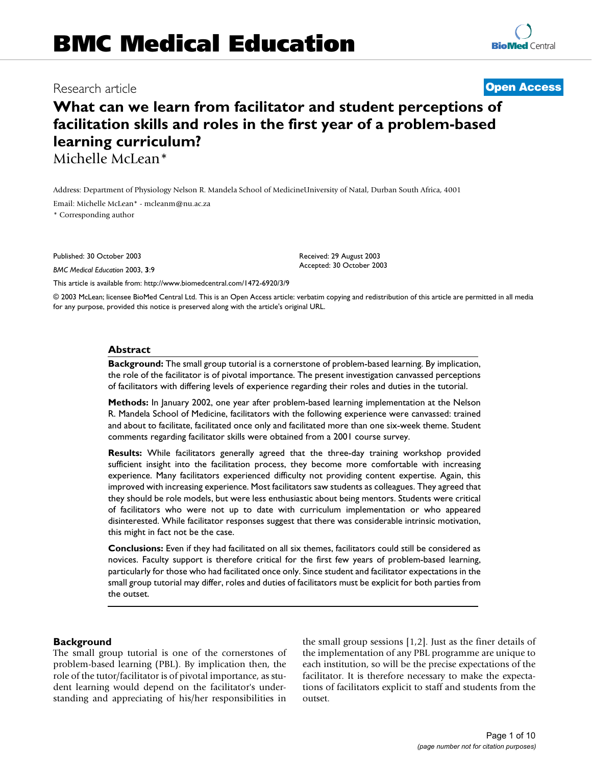# **What can we learn from facilitator and student perceptions of facilitation skills and roles in the first year of a problem-based learning curriculum?** Michelle McLean\*

Address: Department of Physiology Nelson R. Mandela School of MedicineUniversity of Natal, Durban South Africa, 4001

Email: Michelle McLean\* - mcleanm@nu.ac.za

\* Corresponding author

Published: 30 October 2003

*BMC Medical Education* 2003, **3**:9

[This article is available from: http://www.biomedcentral.com/1472-6920/3/9](http://www.biomedcentral.com/1472-6920/3/9)

Received: 29 August 2003 Accepted: 30 October 2003

© 2003 McLean; licensee BioMed Central Ltd. This is an Open Access article: verbatim copying and redistribution of this article are permitted in all media for any purpose, provided this notice is preserved along with the article's original URL.

# **Abstract**

**Background:** The small group tutorial is a cornerstone of problem-based learning. By implication, the role of the facilitator is of pivotal importance. The present investigation canvassed perceptions of facilitators with differing levels of experience regarding their roles and duties in the tutorial.

**Methods:** In January 2002, one year after problem-based learning implementation at the Nelson R. Mandela School of Medicine, facilitators with the following experience were canvassed: trained and about to facilitate, facilitated once only and facilitated more than one six-week theme. Student comments regarding facilitator skills were obtained from a 2001 course survey.

**Results:** While facilitators generally agreed that the three-day training workshop provided sufficient insight into the facilitation process, they become more comfortable with increasing experience. Many facilitators experienced difficulty not providing content expertise. Again, this improved with increasing experience. Most facilitators saw students as colleagues. They agreed that they should be role models, but were less enthusiastic about being mentors. Students were critical of facilitators who were not up to date with curriculum implementation or who appeared disinterested. While facilitator responses suggest that there was considerable intrinsic motivation, this might in fact not be the case.

**Conclusions:** Even if they had facilitated on all six themes, facilitators could still be considered as novices. Faculty support is therefore critical for the first few years of problem-based learning, particularly for those who had facilitated once only. Since student and facilitator expectations in the small group tutorial may differ, roles and duties of facilitators must be explicit for both parties from the outset.

# **Background**

The small group tutorial is one of the cornerstones of problem-based learning (PBL). By implication then, the role of the tutor/facilitator is of pivotal importance, as student learning would depend on the facilitator's understanding and appreciating of his/her responsibilities in the small group sessions [1,2]. Just as the finer details of the implementation of any PBL programme are unique to each institution, so will be the precise expectations of the facilitator. It is therefore necessary to make the expectations of facilitators explicit to staff and students from the outset.

# Research article **[Open Access](http://www.biomedcentral.com/info/about/charter/)**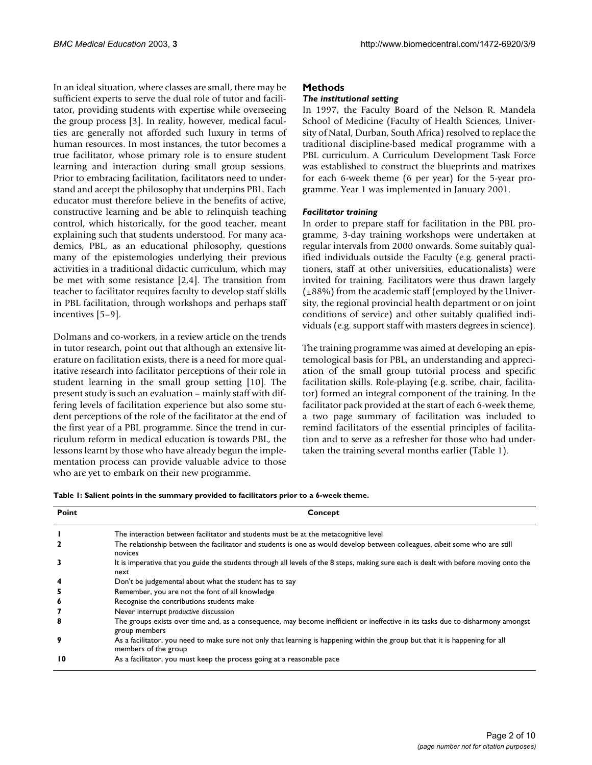In an ideal situation, where classes are small, there may be sufficient experts to serve the dual role of tutor and facilitator, providing students with expertise while overseeing the group process [3]. In reality, however, medical faculties are generally not afforded such luxury in terms of human resources. In most instances, the tutor becomes a true facilitator, whose primary role is to ensure student learning and interaction during small group sessions. Prior to embracing facilitation, facilitators need to understand and accept the philosophy that underpins PBL. Each educator must therefore believe in the benefits of active, constructive learning and be able to relinquish teaching control, which historically, for the good teacher, meant explaining such that students understood. For many academics, PBL, as an educational philosophy, questions many of the epistemologies underlying their previous activities in a traditional didactic curriculum, which may be met with some resistance [2,4]. The transition from teacher to facilitator requires faculty to develop staff skills in PBL facilitation, through workshops and perhaps staff incentives [5–9].

Dolmans and co-workers, in a review article on the trends in tutor research, point out that although an extensive literature on facilitation exists, there is a need for more qualitative research into facilitator perceptions of their role in student learning in the small group setting [10]. The present study is such an evaluation – mainly staff with differing levels of facilitation experience but also some student perceptions of the role of the facilitator at the end of the first year of a PBL programme. Since the trend in curriculum reform in medical education is towards PBL, the lessons learnt by those who have already begun the implementation process can provide valuable advice to those who are yet to embark on their new programme.

# **Methods**

# *The institutional setting*

In 1997, the Faculty Board of the Nelson R. Mandela School of Medicine (Faculty of Health Sciences, University of Natal, Durban, South Africa) resolved to replace the traditional discipline-based medical programme with a PBL curriculum. A Curriculum Development Task Force was established to construct the blueprints and matrixes for each 6-week theme (6 per year) for the 5-year programme. Year 1 was implemented in January 2001.

# *Facilitator training*

In order to prepare staff for facilitation in the PBL programme, 3-day training workshops were undertaken at regular intervals from 2000 onwards. Some suitably qualified individuals outside the Faculty (e.g. general practitioners, staff at other universities, educationalists) were invited for training. Facilitators were thus drawn largely (±88%) from the academic staff (employed by the University, the regional provincial health department or on joint conditions of service) and other suitably qualified individuals (e.g. support staff with masters degrees in science).

The training programme was aimed at developing an epistemological basis for PBL, an understanding and appreciation of the small group tutorial process and specific facilitation skills. Role-playing (e.g. scribe, chair, facilitator) formed an integral component of the training. In the facilitator pack provided at the start of each 6-week theme, a two page summary of facilitation was included to remind facilitators of the essential principles of facilitation and to serve as a refresher for those who had undertaken the training several months earlier (Table [1](#page-1-0)).

<span id="page-1-0"></span>

| Table 1: Salient points in the summary provided to facilitators prior to a 6-week theme. |  |  |  |  |  |
|------------------------------------------------------------------------------------------|--|--|--|--|--|
|------------------------------------------------------------------------------------------|--|--|--|--|--|

| Point | Concept                                                                                                                                               |
|-------|-------------------------------------------------------------------------------------------------------------------------------------------------------|
|       | The interaction between facilitator and students must be at the metacognitive level                                                                   |
|       | The relationship between the facilitator and students is one as would develop between colleagues, albeit some who are still<br>novices                |
|       | It is imperative that you guide the students through all levels of the 8 steps, making sure each is dealt with before moving onto the<br>next         |
| 4     | Don't be judgemental about what the student has to say                                                                                                |
| 5     | Remember, you are not the font of all knowledge                                                                                                       |
| 6     | Recognise the contributions students make                                                                                                             |
|       | Never interrupt productive discussion                                                                                                                 |
| 8     | The groups exists over time and, as a consequence, may become inefficient or ineffective in its tasks due to disharmony amongst<br>group members      |
| 9     | As a facilitator, you need to make sure not only that learning is happening within the group but that it is happening for all<br>members of the group |
| 10    | As a facilitator, you must keep the process going at a reasonable pace                                                                                |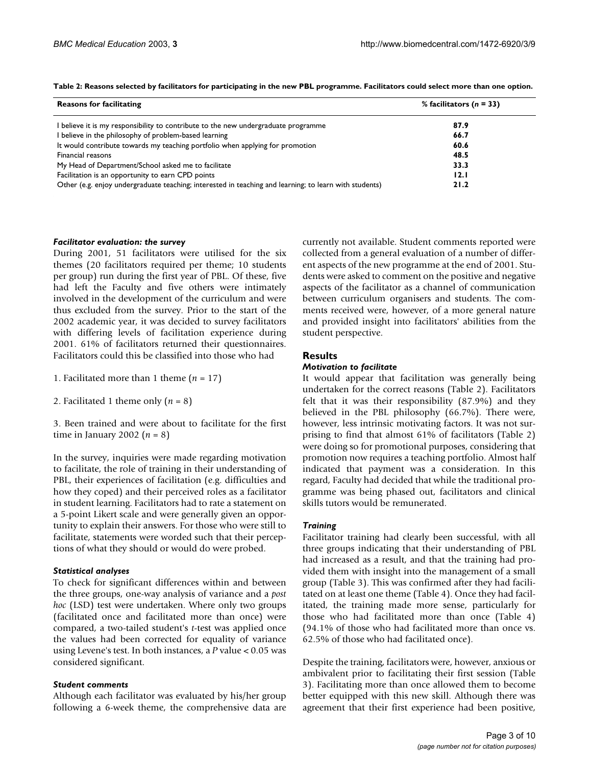<span id="page-2-0"></span>

| Table 2: Reasons selected by facilitators for participating in the new PBL programme. Facilitators could select more than one option. |  |  |  |
|---------------------------------------------------------------------------------------------------------------------------------------|--|--|--|
|                                                                                                                                       |  |  |  |

| <b>Reasons for facilitating</b>                                                                        | % facilitators ( $n = 33$ ) |
|--------------------------------------------------------------------------------------------------------|-----------------------------|
| I believe it is my responsibility to contribute to the new undergraduate programme                     | 87.9                        |
| I believe in the philosophy of problem-based learning                                                  | 66.7                        |
| It would contribute towards my teaching portfolio when applying for promotion                          | 60.6                        |
| Financial reasons                                                                                      | 48.5                        |
| My Head of Department/School asked me to facilitate                                                    | 33.3                        |
| Facilitation is an opportunity to earn CPD points                                                      | 12.1                        |
| Other (e.g. enjoy undergraduate teaching; interested in teaching and learning; to learn with students) | 21.2                        |

### *Facilitator evaluation: the survey*

During 2001, 51 facilitators were utilised for the six themes (20 facilitators required per theme; 10 students per group) run during the first year of PBL. Of these, five had left the Faculty and five others were intimately involved in the development of the curriculum and were thus excluded from the survey. Prior to the start of the 2002 academic year, it was decided to survey facilitators with differing levels of facilitation experience during 2001. 61% of facilitators returned their questionnaires. Facilitators could this be classified into those who had

1. Facilitated more than 1 theme (*n* = 17)

2. Facilitated 1 theme only (*n* = 8)

3. Been trained and were about to facilitate for the first time in January 2002 (*n* = 8)

In the survey, inquiries were made regarding motivation to facilitate, the role of training in their understanding of PBL, their experiences of facilitation (e.g. difficulties and how they coped) and their perceived roles as a facilitator in student learning. Facilitators had to rate a statement on a 5-point Likert scale and were generally given an opportunity to explain their answers. For those who were still to facilitate, statements were worded such that their perceptions of what they should or would do were probed.

# *Statistical analyses*

To check for significant differences within and between the three groups, one-way analysis of variance and a *post hoc* (LSD) test were undertaken. Where only two groups (facilitated once and facilitated more than once) were compared, a two-tailed student's *t*-test was applied once the values had been corrected for equality of variance using Levene's test. In both instances, a *P* value < 0.05 was considered significant.

# *Student comments*

Although each facilitator was evaluated by his/her group following a 6-week theme, the comprehensive data are currently not available. Student comments reported were collected from a general evaluation of a number of different aspects of the new programme at the end of 2001. Students were asked to comment on the positive and negative aspects of the facilitator as a channel of communication between curriculum organisers and students. The comments received were, however, of a more general nature and provided insight into facilitators' abilities from the student perspective.

# **Results**

### *Motivation to facilitate*

It would appear that facilitation was generally being undertaken for the correct reasons (Table [2](#page-2-0)). Facilitators felt that it was their responsibility (87.9%) and they believed in the PBL philosophy (66.7%). There were, however, less intrinsic motivating factors. It was not surprising to find that almost 61% of facilitators (Table [2](#page-2-0)) were doing so for promotional purposes, considering that promotion now requires a teaching portfolio. Almost half indicated that payment was a consideration. In this regard, Faculty had decided that while the traditional programme was being phased out, facilitators and clinical skills tutors would be remunerated.

# *Training*

Facilitator training had clearly been successful, with all three groups indicating that their understanding of PBL had increased as a result, and that the training had provided them with insight into the management of a small group (Table [3\)](#page-3-0). This was confirmed after they had facilitated on at least one theme (Table [4\)](#page-4-0). Once they had facilitated, the training made more sense, particularly for those who had facilitated more than once (Table [4](#page-4-0)) (94.1% of those who had facilitated more than once vs. 62.5% of those who had facilitated once).

Despite the training, facilitators were, however, anxious or ambivalent prior to facilitating their first session (Table [3](#page-3-0)). Facilitating more than once allowed them to become better equipped with this new skill. Although there was agreement that their first experience had been positive,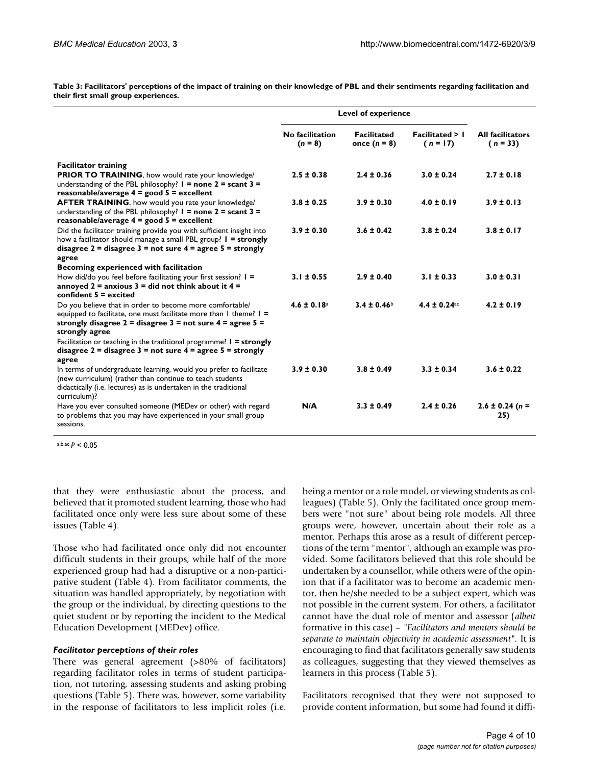<span id="page-3-0"></span>**Table 3: Facilitators' perceptions of the impact of training on their knowledge of PBL and their sentiments regarding facilitation and their first small group experiences.**

|                                                                                                                                                                                                                                   | <b>Level of experience</b>   |                                      |                                         |                                       |
|-----------------------------------------------------------------------------------------------------------------------------------------------------------------------------------------------------------------------------------|------------------------------|--------------------------------------|-----------------------------------------|---------------------------------------|
|                                                                                                                                                                                                                                   | No facilitation<br>$(n = 8)$ | <b>Facilitated</b><br>once $(n = 8)$ | <b>Facilitated &gt; 1</b><br>$(n = 17)$ | <b>All facilitators</b><br>$(n = 33)$ |
| <b>Facilitator training</b>                                                                                                                                                                                                       |                              |                                      |                                         |                                       |
| <b>PRIOR TO TRAINING, how would rate your knowledge/</b><br>understanding of the PBL philosophy? $I = none 2 = scant 3 =$<br>reasonable/average $4 = \text{good } 5 = \text{excellent}$                                           | $2.5 \pm 0.38$               | $2.4 \pm 0.36$                       | $3.0 \pm 0.24$                          | $2.7 \pm 0.18$                        |
| <b>AFTER TRAINING, how would you rate your knowledge/</b><br>understanding of the PBL philosophy? $I = none 2 = scant 3 =$<br>reasonable/average $4 = \text{good } 5 = \text{excellent}$                                          | $3.8 \pm 0.25$               | $3.9 \pm 0.30$                       | $4.0 \pm 0.19$                          | $3.9 \pm 0.13$                        |
| Did the facilitator training provide you with sufficient insight into<br>how a facilitator should manage a small PBL group? $I =$ strongly<br>disagree $2 =$ disagree $3 =$ not sure $4 =$ agree $5 =$ strongly<br>agree          | $3.9 \pm 0.30$               | $3.6 \pm 0.42$                       | $3.8 \pm 0.24$                          | $3.8 \pm 0.17$                        |
| Becoming experienced with facilitation                                                                                                                                                                                            |                              |                                      |                                         |                                       |
| How did/do you feel before facilitating your first session? $I =$<br>annoyed $2 =$ anxious $3 =$ did not think about it $4 =$<br>confident $5 =$ excited                                                                          | $3.1 \pm 0.55$               | $2.9 \pm 0.40$                       | $3.1 \pm 0.33$                          | $3.0 \pm 0.31$                        |
| Do you believe that in order to become more comfortable/<br>equipped to facilitate, one must facilitate more than $\vert$ theme? $\vert$ =<br>strongly disagree $2 =$ disagree $3 =$ not sure $4 =$ agree $5 =$<br>strongly agree | $4.6 \pm 0.18$ <sup>a</sup>  | $3.4 \pm 0.46$                       | $4.4 \pm 0.24$ <sub>ac</sub>            | $4.2 \pm 0.19$                        |
| Facilitation or teaching in the traditional programme? $I =$ strongly<br>disagree $2 =$ disagree $3 =$ not sure $4 =$ agree $5 =$ strongly<br>agree                                                                               |                              |                                      |                                         |                                       |
| In terms of undergraduate learning, would you prefer to facilitate<br>(new curriculum) (rather than continue to teach students<br>didactically (i.e. lectures) as is undertaken in the traditional<br>curriculum)?                | $3.9 \pm 0.30$               | $3.8 \pm 0.49$                       | $3.3 \pm 0.34$                          | $3.6 \pm 0.22$                        |
| Have you ever consulted someone (MEDev or other) with regard<br>to problems that you may have experienced in your small group<br>sessions.                                                                                        | N/A                          | $3.3 \pm 0.49$                       | $2.4 \pm 0.26$                          | $2.6 \pm 0.24$ (n =<br>25)            |

a,b,ac *P* < 0.05

that they were enthusiastic about the process, and believed that it promoted student learning, those who had facilitated once only were less sure about some of these issues (Table [4\)](#page-4-0).

Those who had facilitated once only did not encounter difficult students in their groups, while half of the more experienced group had had a disruptive or a non-participative student (Table [4\)](#page-4-0). From facilitator comments, the situation was handled appropriately, by negotiation with the group or the individual, by directing questions to the quiet student or by reporting the incident to the Medical Education Development (MEDev) office.

# *Facilitator perceptions of their roles*

There was general agreement (>80% of facilitators) regarding facilitator roles in terms of student participation, not tutoring, assessing students and asking probing questions (Table [5\)](#page-4-1). There was, however, some variability in the response of facilitators to less implicit roles (i.e. being a mentor or a role model, or viewing students as colleagues) (Table [5](#page-4-1)). Only the facilitated once group members were "not sure" about being role models. All three groups were, however, uncertain about their role as a mentor. Perhaps this arose as a result of different perceptions of the term "mentor", although an example was provided. Some facilitators believed that this role should be undertaken by a counsellor, while others were of the opinion that if a facilitator was to become an academic mentor, then he/she needed to be a subject expert, which was not possible in the current system. For others, a facilitator cannot have the dual role of mentor and assessor (*albeit* formative in this case) – *"Facilitators and mentors should be separate to maintain objectivity in academic assessment".* It is encouraging to find that facilitators generally saw students as colleagues, suggesting that they viewed themselves as learners in this process (Table [5\)](#page-4-1).

Facilitators recognised that they were not supposed to provide content information, but some had found it diffi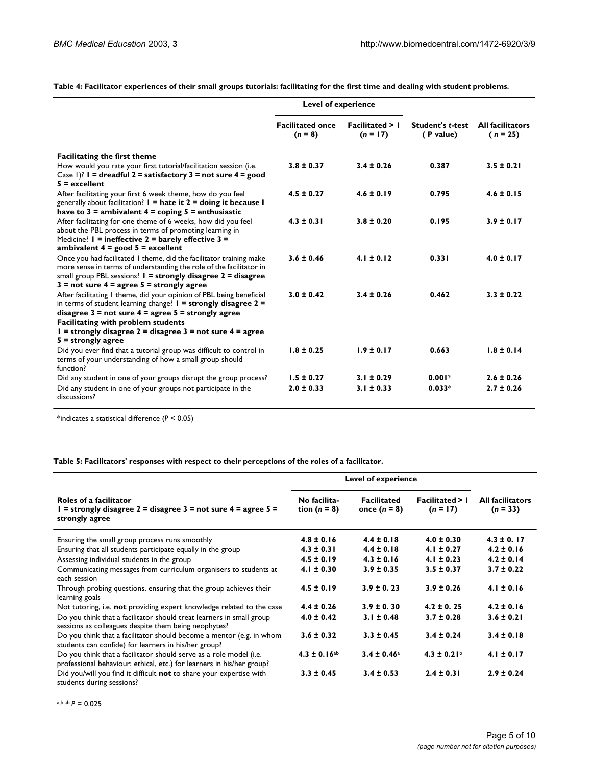<span id="page-4-0"></span>**Table 4: Facilitator experiences of their small groups tutorials: facilitating for the first time and dealing with student problems.**

|                                                                                                                                                                                                                                                                 | <b>Level of experience</b>           |                                         |                                      |                                       |
|-----------------------------------------------------------------------------------------------------------------------------------------------------------------------------------------------------------------------------------------------------------------|--------------------------------------|-----------------------------------------|--------------------------------------|---------------------------------------|
|                                                                                                                                                                                                                                                                 | <b>Facilitated once</b><br>$(n = 8)$ | <b>Facilitated &gt; 1</b><br>$(n = 17)$ | <b>Student's t-test</b><br>(P value) | <b>All facilitators</b><br>$(n = 25)$ |
| <b>Facilitating the first theme</b>                                                                                                                                                                                                                             |                                      |                                         |                                      |                                       |
| How would you rate your first tutorial/facilitation session (i.e.<br>Case I)? I = dreadful $2$ = satisfactory $3$ = not sure $4$ = good<br>$5 =$ excellent                                                                                                      | $3.8 \pm 0.37$                       | $3.4 \pm 0.26$                          | 0.387                                | $3.5 \pm 0.21$                        |
| After facilitating your first 6 week theme, how do you feel<br>generally about facilitation? $I =$ hate it $2 =$ doing it because I<br>have to $3 =$ ambivalent $4 =$ coping $5 =$ enthusiastic                                                                 | $4.5 \pm 0.27$                       | $4.6 \pm 0.19$                          | 0.795                                | $4.6 \pm 0.15$                        |
| After facilitating for one theme of 6 weeks, how did you feel<br>about the PBL process in terms of promoting learning in<br>Medicine? $I =$ ineffective 2 = barely effective 3 =<br>ambivalent $4 = \text{good } 5 = \text{excellent}$                          | $4.3 \pm 0.31$                       | $3.8 \pm 0.20$                          | 0.195                                | $3.9 \pm 0.17$                        |
| Once you had facilitated 1 theme, did the facilitator training make<br>more sense in terms of understanding the role of the facilitator in<br>small group PBL sessions? $I =$ strongly disagree $2 =$ disagree<br>$3$ = not sure 4 = agree $5$ = strongly agree | $3.6 \pm 0.46$                       | $4.1 \pm 0.12$                          | 0.331                                | $4.0 \pm 0.17$                        |
| After facilitating I theme, did your opinion of PBL being beneficial<br>in terms of student learning change? $I =$ strongly disagree 2 =<br>disagree $3 = not$ sure $4 = agree$ $5 = strongly$ agree                                                            | $3.0 \pm 0.42$                       | $3.4 \pm 0.26$                          | 0.462                                | $3.3 \pm 0.22$                        |
| <b>Facilitating with problem students</b><br>$l =$ strongly disagree 2 = disagree 3 = not sure 4 = agree                                                                                                                                                        |                                      |                                         |                                      |                                       |
| $5 =$ strongly agree                                                                                                                                                                                                                                            |                                      |                                         |                                      |                                       |
| Did you ever find that a tutorial group was difficult to control in<br>terms of your understanding of how a small group should<br>function?                                                                                                                     | $1.8 \pm 0.25$                       | $1.9 \pm 0.17$                          | 0.663                                | $1.8 \pm 0.14$                        |
| Did any student in one of your groups disrupt the group process?                                                                                                                                                                                                | $1.5 \pm 0.27$                       | $3.1 \pm 0.29$                          | $0.001*$                             | $2.6 \pm 0.26$                        |
| Did any student in one of your groups not participate in the<br>discussions?                                                                                                                                                                                    | $2.0 \pm 0.33$                       | $3.1 \pm 0.33$                          | $0.033*$                             | $2.7 \pm 0.26$                        |

\*indicates a statistical difference (*P* < 0.05)

<span id="page-4-1"></span>**Table 5: Facilitators' responses with respect to their perceptions of the roles of a facilitator.**

|                                                                                                                                             | Level of experience            |                                      |                                         |                                       |
|---------------------------------------------------------------------------------------------------------------------------------------------|--------------------------------|--------------------------------------|-----------------------------------------|---------------------------------------|
| <b>Roles of a facilitator</b><br>$l =$ strongly disagree 2 = disagree 3 = not sure 4 = agree 5 =<br>strongly agree                          | No facilita-<br>tion $(n = 8)$ | <b>Facilitated</b><br>once $(n = 8)$ | <b>Facilitated &gt; 1</b><br>$(n = 17)$ | <b>All facilitators</b><br>$(n = 33)$ |
| Ensuring the small group process runs smoothly                                                                                              | $4.8 \pm 0.16$                 | $4.4 \pm 0.18$                       | $4.0 \pm 0.30$                          | $4.3 \pm 0.17$                        |
| Ensuring that all students participate equally in the group                                                                                 | $4.3 \pm 0.31$                 | $4.4 \pm 0.18$                       | $4.1 \pm 0.27$                          | $4.2 \pm 0.16$                        |
| Assessing individual students in the group                                                                                                  | $4.5 \pm 0.19$                 | $4.3 \pm 0.16$                       | $4.1 \pm 0.23$                          | $4.2 \pm 0.14$                        |
| Communicating messages from curriculum organisers to students at<br>each session                                                            | $4.1 \pm 0.30$                 | $3.9 \pm 0.35$                       | $3.5 \pm 0.37$                          | $3.7 \pm 0.22$                        |
| Through probing questions, ensuring that the group achieves their<br>learning goals                                                         | $4.5 \pm 0.19$                 | $3.9 \pm 0.23$                       | $3.9 \pm 0.26$                          | $4.1 \pm 0.16$                        |
| Not tutoring, i.e. not providing expert knowledge related to the case                                                                       | $4.4 \pm 0.26$                 | $3.9 \pm 0.30$                       | $4.2 \pm 0.25$                          | $4.2 \pm 0.16$                        |
| Do you think that a facilitator should treat learners in small group<br>sessions as colleagues despite them being neophytes?                | $4.0 \pm 0.42$                 | $3.1 \pm 0.48$                       | $3.7 \pm 0.28$                          | $3.6 \pm 0.21$                        |
| Do you think that a facilitator should become a mentor (e.g. in whom<br>students can confide) for learners in his/her group?                | $3.6 \pm 0.32$                 | $3.3 \pm 0.45$                       | $3.4 \pm 0.24$                          | $3.4 \pm 0.18$                        |
| Do you think that a facilitator should serve as a role model (i.e.<br>professional behaviour; ethical, etc.) for learners in his/her group? | $4.3 \pm 0.16$ <sup>ab</sup>   | $3.4 \pm 0.46^{\circ}$               | $4.3 \pm 0.21$                          | $4.1 \pm 0.17$                        |
| Did you/will you find it difficult not to share your expertise with<br>students during sessions?                                            | $3.3 \pm 0.45$                 | $3.4 \pm 0.53$                       | $2.4 \pm 0.31$                          | $2.9 \pm 0.24$                        |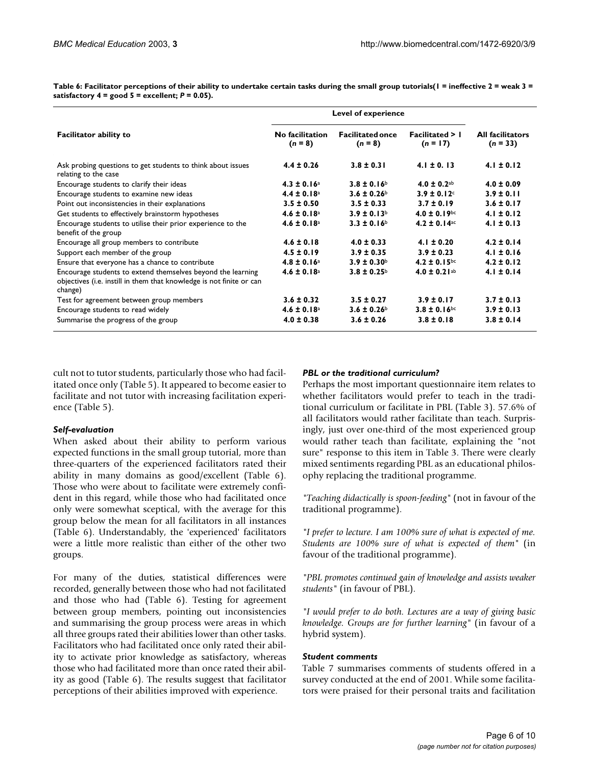<span id="page-5-0"></span>**Table 6: Facilitator perceptions of their ability to undertake certain tasks during the small group tutorials(1 = ineffective 2 = weak 3 =**  satisfactory  $4 = \text{good } 5 = \text{excellent}$ ;  $P = 0.05$ ).

|                                                                                                                                                | <b>Level of experience</b>   |                                      |                                         |                                       |
|------------------------------------------------------------------------------------------------------------------------------------------------|------------------------------|--------------------------------------|-----------------------------------------|---------------------------------------|
| <b>Facilitator ability to</b>                                                                                                                  | No facilitation<br>$(n = 8)$ | <b>Facilitated once</b><br>$(n = 8)$ | <b>Facilitated &gt; 1</b><br>$(n = 17)$ | <b>All facilitators</b><br>$(n = 33)$ |
| Ask probing questions to get students to think about issues<br>relating to the case                                                            | $4.4 \pm 0.26$               | $3.8 \pm 0.31$                       | $4.1 \pm 0.13$                          | $4.1 \pm 0.12$                        |
| Encourage students to clarify their ideas                                                                                                      | $4.3 \pm 0.16$ <sup>a</sup>  | $3.8 \pm 0.16$                       | $4.0 \pm 0.2$ ab                        | $4.0 \pm 0.09$                        |
| Encourage students to examine new ideas                                                                                                        | $4.4 \pm 0.18$ <sup>a</sup>  | $3.6 \pm 0.26^{\circ}$               | $3.9 \pm 0.12$                          | $3.9 \pm 0.11$                        |
| Point out inconsistencies in their explanations                                                                                                | $3.5 \pm 0.50$               | $3.5 \pm 0.33$                       | $3.7 \pm 0.19$                          | $3.6 \pm 0.17$                        |
| Get students to effectively brainstorm hypotheses                                                                                              | $4.6 \pm 0.18$ <sup>a</sup>  | $3.9 \pm 0.13^b$                     | $4.0 \pm 0.19$ bc                       | $4.1 \pm 0.12$                        |
| Encourage students to utilise their prior experience to the<br>benefit of the group                                                            | $4.6 \pm 0.18$ <sup>a</sup>  | $3.3 \pm 0.16^{\circ}$               | $4.2 \pm 0.14$ <sup>ac</sup>            | $4.1 \pm 0.13$                        |
| Encourage all group members to contribute                                                                                                      | $4.6 \pm 0.18$               | $4.0 \pm 0.33$                       | $4.1 \pm 0.20$                          | $4.2 \pm 0.14$                        |
| Support each member of the group                                                                                                               | $4.5 \pm 0.19$               | $3.9 \pm 0.35$                       | $3.9 \pm 0.23$                          | $4.1 \pm 0.16$                        |
| Ensure that everyone has a chance to contribute                                                                                                | $4.8 \pm 0.16^a$             | $3.9 \pm 0.30^{\circ}$               | $4.2 \pm 0.15$ <sub>bc</sub>            | $4.2 \pm 0.12$                        |
| Encourage students to extend themselves beyond the learning<br>objectives (i.e. instill in them that knowledge is not finite or can<br>change) | $4.6 \pm 0.18$ <sup>a</sup>  | $3.8 \pm 0.25^{\circ}$               | 4.0 $\pm$ 0.2 $1^{ab}$                  | $4.1 \pm 0.14$                        |
| Test for agreement between group members                                                                                                       | $3.6 \pm 0.32$               | $3.5 \pm 0.27$                       | $3.9 \pm 0.17$                          | $3.7 \pm 0.13$                        |
| Encourage students to read widely                                                                                                              | $4.6 \pm 0.18$ <sup>a</sup>  | $3.6 \pm 0.26^{\circ}$               | $3.8 \pm 0.16$ <sub>bc</sub>            | $3.9 \pm 0.13$                        |
| Summarise the progress of the group                                                                                                            | $4.0 \pm 0.38$               | $3.6 \pm 0.26$                       | $3.8 \pm 0.18$                          | $3.8 \pm 0.14$                        |

cult not to tutor students, particularly those who had facilitated once only (Table [5](#page-4-1)). It appeared to become easier to facilitate and not tutor with increasing facilitation experience (Table [5](#page-4-1)).

# *Self-evaluation*

When asked about their ability to perform various expected functions in the small group tutorial, more than three-quarters of the experienced facilitators rated their ability in many domains as good/excellent (Table [6\)](#page-5-0). Those who were about to facilitate were extremely confident in this regard, while those who had facilitated once only were somewhat sceptical, with the average for this group below the mean for all facilitators in all instances (Table [6](#page-5-0)). Understandably, the 'experienced' facilitators were a little more realistic than either of the other two groups.

For many of the duties, statistical differences were recorded, generally between those who had not facilitated and those who had (Table [6\)](#page-5-0). Testing for agreement between group members, pointing out inconsistencies and summarising the group process were areas in which all three groups rated their abilities lower than other tasks. Facilitators who had facilitated once only rated their ability to activate prior knowledge as satisfactory, whereas those who had facilitated more than once rated their ability as good (Table [6](#page-5-0)). The results suggest that facilitator perceptions of their abilities improved with experience.

#### *PBL or the traditional curriculum?*

Perhaps the most important questionnaire item relates to whether facilitators would prefer to teach in the traditional curriculum or facilitate in PBL (Table [3\)](#page-3-0). 57.6% of all facilitators would rather facilitate than teach. Surprisingly, just over one-third of the most experienced group would rather teach than facilitate, explaining the "not sure" response to this item in Table [3](#page-3-0). There were clearly mixed sentiments regarding PBL as an educational philosophy replacing the traditional programme.

*"Teaching didactically is spoon-feeding"* (not in favour of the traditional programme).

*"I prefer to lecture. I am 100% sure of what is expected of me. Students are 100% sure of what is expected of them"* (in favour of the traditional programme).

*"PBL promotes continued gain of knowledge and assists weaker students"* (in favour of PBL).

*"I would prefer to do both. Lectures are a way of giving basic knowledge. Groups are for further learning"* (in favour of a hybrid system).

#### *Student comments*

Table [7](#page-6-0) summarises comments of students offered in a survey conducted at the end of 2001. While some facilitators were praised for their personal traits and facilitation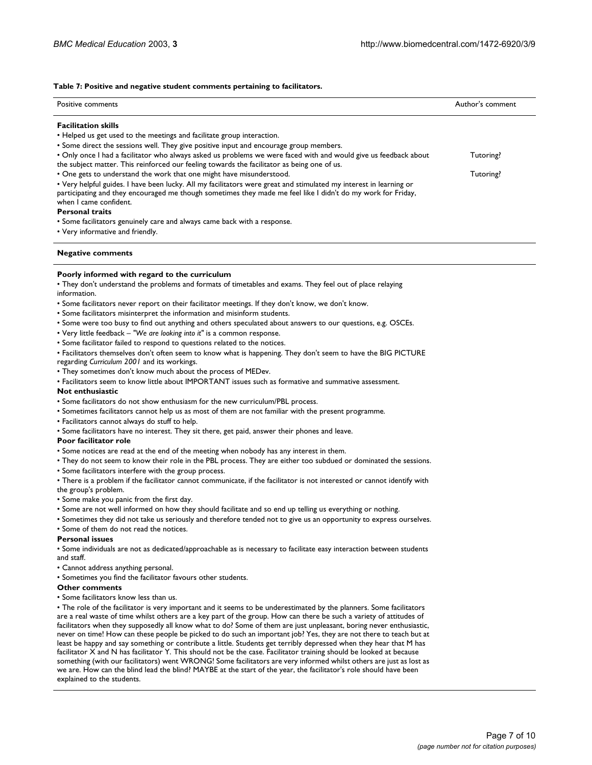#### <span id="page-6-0"></span>**Table 7: Positive and negative student comments pertaining to facilitators.**

| Positive comments                                                                                                                                                                                                                                                                                                                    | Author's comment |
|--------------------------------------------------------------------------------------------------------------------------------------------------------------------------------------------------------------------------------------------------------------------------------------------------------------------------------------|------------------|
| <b>Facilitation skills</b>                                                                                                                                                                                                                                                                                                           |                  |
| • Helped us get used to the meetings and facilitate group interaction.                                                                                                                                                                                                                                                               |                  |
| • Some direct the sessions well. They give positive input and encourage group members.                                                                                                                                                                                                                                               |                  |
| . Only once I had a facilitator who always asked us problems we were faced with and would give us feedback about<br>the subject matter. This reinforced our feeling towards the facilitator as being one of us.                                                                                                                      | Tutoring?        |
| • One gets to understand the work that one might have misunderstood.<br>. Very helpful guides. I have been lucky. All my facilitators were great and stimulated my interest in learning or<br>participating and they encouraged me though sometimes they made me feel like I didn't do my work for Friday,<br>when I came confident. | Tutoring?        |
| <b>Personal traits</b>                                                                                                                                                                                                                                                                                                               |                  |
| • Some facilitators genuinely care and always came back with a response.                                                                                                                                                                                                                                                             |                  |
| • Very informative and friendly.                                                                                                                                                                                                                                                                                                     |                  |

#### **Negative comments**

#### **Poorly informed with regard to the curriculum**

• They don't understand the problems and formats of timetables and exams. They feel out of place relaying information.

- Some facilitators never report on their facilitator meetings. If they don't know, we don't know.
- Some facilitators misinterpret the information and misinform students.
- Some were too busy to find out anything and others speculated about answers to our questions, e.g. OSCEs.
- Very little feedback *"We are looking into it"* is a common response.
- Some facilitator failed to respond to questions related to the notices.
- Facilitators themselves don't often seem to know what is happening. They don't seem to have the BIG PICTURE regarding *Curriculum 2001* and its workings.
- They sometimes don't know much about the process of MEDev.
- Facilitators seem to know little about IMPORTANT issues such as formative and summative assessment.

#### **Not enthusiastic**

- Some facilitators do not show enthusiasm for the new curriculum/PBL process.
- Sometimes facilitators cannot help us as most of them are not familiar with the present programme.
- Facilitators cannot always do stuff to help.
- Some facilitators have no interest. They sit there, get paid, answer their phones and leave.

#### **Poor facilitator role**

- Some notices are read at the end of the meeting when nobody has any interest in them.
- They do not seem to know their role in the PBL process. They are either too subdued or dominated the sessions.
- Some facilitators interfere with the group process.

• There is a problem if the facilitator cannot communicate, if the facilitator is not interested or cannot identify with the group's problem.

- Some make you panic from the first day.
- Some are not well informed on how they should facilitate and so end up telling us everything or nothing.
- Sometimes they did not take us seriously and therefore tended not to give us an opportunity to express ourselves.
- Some of them do not read the notices.

#### **Personal issues**

• Some individuals are not as dedicated/approachable as is necessary to facilitate easy interaction between students and staff.

- Cannot address anything personal.
- Sometimes you find the facilitator favours other students.

#### **Other comments**

• Some facilitators know less than us.

• The role of the facilitator is very important and it seems to be underestimated by the planners. Some facilitators are a real waste of time whilst others are a key part of the group. How can there be such a variety of attitudes of facilitators when they supposedly all know what to do? Some of them are just unpleasant, boring never enthusiastic, never on time! How can these people be picked to do such an important job? Yes, they are not there to teach but at least be happy and say something or contribute a little. Students get terribly depressed when they hear that M has facilitator X and N has facilitator Y. This should not be the case. Facilitator training should be looked at because something (with our facilitators) went WRONG! Some facilitators are very informed whilst others are just as lost as we are. How can the blind lead the blind? MAYBE at the start of the year, the facilitator's role should have been explained to the students.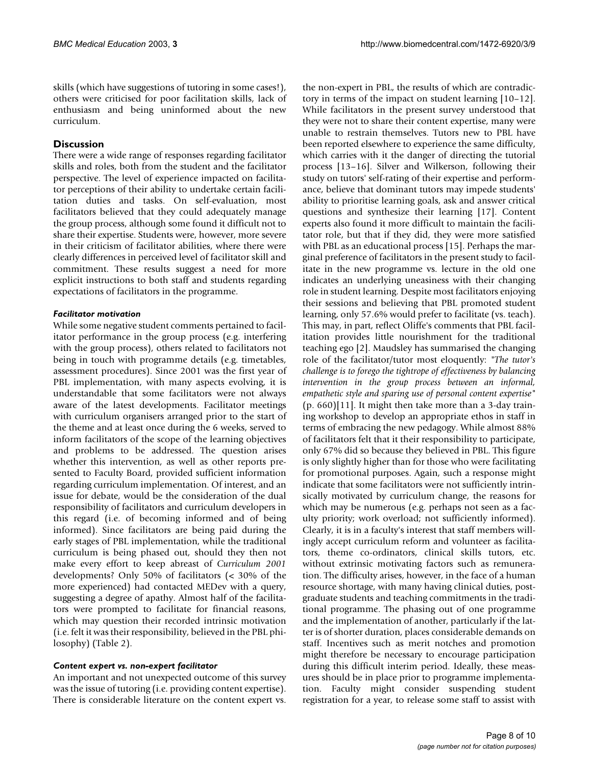skills (which have suggestions of tutoring in some cases!), others were criticised for poor facilitation skills, lack of enthusiasm and being uninformed about the new curriculum.

# **Discussion**

There were a wide range of responses regarding facilitator skills and roles, both from the student and the facilitator perspective. The level of experience impacted on facilitator perceptions of their ability to undertake certain facilitation duties and tasks. On self-evaluation, most facilitators believed that they could adequately manage the group process, although some found it difficult not to share their expertise. Students were, however, more severe in their criticism of facilitator abilities, where there were clearly differences in perceived level of facilitator skill and commitment. These results suggest a need for more explicit instructions to both staff and students regarding expectations of facilitators in the programme.

# *Facilitator motivation*

While some negative student comments pertained to facilitator performance in the group process (e.g. interfering with the group process), others related to facilitators not being in touch with programme details (e.g. timetables, assessment procedures). Since 2001 was the first year of PBL implementation, with many aspects evolving, it is understandable that some facilitators were not always aware of the latest developments. Facilitator meetings with curriculum organisers arranged prior to the start of the theme and at least once during the 6 weeks, served to inform facilitators of the scope of the learning objectives and problems to be addressed. The question arises whether this intervention, as well as other reports presented to Faculty Board, provided sufficient information regarding curriculum implementation. Of interest, and an issue for debate, would be the consideration of the dual responsibility of facilitators and curriculum developers in this regard (i.e. of becoming informed and of being informed). Since facilitators are being paid during the early stages of PBL implementation, while the traditional curriculum is being phased out, should they then not make every effort to keep abreast of *Curriculum 2001* developments? Only 50% of facilitators (< 30% of the more experienced) had contacted MEDev with a query, suggesting a degree of apathy. Almost half of the facilitators were prompted to facilitate for financial reasons, which may question their recorded intrinsic motivation (i.e. felt it was their responsibility, believed in the PBL philosophy) (Table [2](#page-2-0)).

# *Content expert vs. non-expert facilitator*

An important and not unexpected outcome of this survey was the issue of tutoring (i.e. providing content expertise). There is considerable literature on the content expert vs.

the non-expert in PBL, the results of which are contradictory in terms of the impact on student learning [10–12]. While facilitators in the present survey understood that they were not to share their content expertise, many were unable to restrain themselves. Tutors new to PBL have been reported elsewhere to experience the same difficulty, which carries with it the danger of directing the tutorial process [13–16]. Silver and Wilkerson, following their study on tutors' self-rating of their expertise and performance, believe that dominant tutors may impede students' ability to prioritise learning goals, ask and answer critical questions and synthesize their learning [17]. Content experts also found it more difficult to maintain the facilitator role, but that if they did, they were more satisfied with PBL as an educational process [15]. Perhaps the marginal preference of facilitators in the present study to facilitate in the new programme vs. lecture in the old one indicates an underlying uneasiness with their changing role in student learning. Despite most facilitators enjoying their sessions and believing that PBL promoted student learning, only 57.6% would prefer to facilitate (vs. teach). This may, in part, reflect Oliffe's comments that PBL facilitation provides little nourishment for the traditional teaching ego [2]. Maudsley has summarised the changing role of the facilitator/tutor most eloquently: *"The tutor's challenge is to forego the tightrope of effectiveness by balancing intervention in the group process between an informal, empathetic style and sparing use of personal content expertise"*  $(p. 660)[11]$ . It might then take more than a 3-day training workshop to develop an appropriate ethos in staff in terms of embracing the new pedagogy. While almost 88% of facilitators felt that it their responsibility to participate, only 67% did so because they believed in PBL. This figure is only slightly higher than for those who were facilitating for promotional purposes. Again, such a response might indicate that some facilitators were not sufficiently intrinsically motivated by curriculum change, the reasons for which may be numerous (e.g. perhaps not seen as a faculty priority; work overload; not sufficiently informed). Clearly, it is in a faculty's interest that staff members willingly accept curriculum reform and volunteer as facilitators, theme co-ordinators, clinical skills tutors, etc. without extrinsic motivating factors such as remuneration. The difficulty arises, however, in the face of a human resource shortage, with many having clinical duties, postgraduate students and teaching commitments in the traditional programme. The phasing out of one programme and the implementation of another, particularly if the latter is of shorter duration, places considerable demands on staff. Incentives such as merit notches and promotion might therefore be necessary to encourage participation during this difficult interim period. Ideally, these measures should be in place prior to programme implementation. Faculty might consider suspending student registration for a year, to release some staff to assist with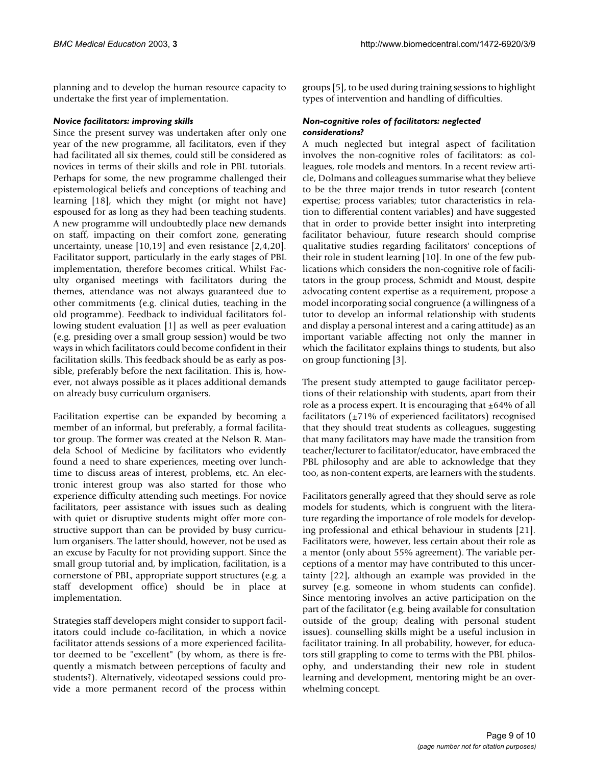planning and to develop the human resource capacity to undertake the first year of implementation.

# *Novice facilitators: improving skills*

Since the present survey was undertaken after only one year of the new programme, all facilitators, even if they had facilitated all six themes, could still be considered as novices in terms of their skills and role in PBL tutorials. Perhaps for some, the new programme challenged their epistemological beliefs and conceptions of teaching and learning [18], which they might (or might not have) espoused for as long as they had been teaching students. A new programme will undoubtedly place new demands on staff, impacting on their comfort zone, generating uncertainty, unease [10,19] and even resistance [2,4,20]. Facilitator support, particularly in the early stages of PBL implementation, therefore becomes critical. Whilst Faculty organised meetings with facilitators during the themes, attendance was not always guaranteed due to other commitments (e.g. clinical duties, teaching in the old programme). Feedback to individual facilitators following student evaluation [1] as well as peer evaluation (e.g. presiding over a small group session) would be two ways in which facilitators could become confident in their facilitation skills. This feedback should be as early as possible, preferably before the next facilitation. This is, however, not always possible as it places additional demands on already busy curriculum organisers.

Facilitation expertise can be expanded by becoming a member of an informal, but preferably, a formal facilitator group. The former was created at the Nelson R. Mandela School of Medicine by facilitators who evidently found a need to share experiences, meeting over lunchtime to discuss areas of interest, problems, etc. An electronic interest group was also started for those who experience difficulty attending such meetings. For novice facilitators, peer assistance with issues such as dealing with quiet or disruptive students might offer more constructive support than can be provided by busy curriculum organisers. The latter should, however, not be used as an excuse by Faculty for not providing support. Since the small group tutorial and, by implication, facilitation, is a cornerstone of PBL, appropriate support structures (e.g. a staff development office) should be in place at implementation.

Strategies staff developers might consider to support facilitators could include co-facilitation, in which a novice facilitator attends sessions of a more experienced facilitator deemed to be "excellent" (by whom, as there is frequently a mismatch between perceptions of faculty and students?). Alternatively, videotaped sessions could provide a more permanent record of the process within groups [5], to be used during training sessions to highlight types of intervention and handling of difficulties.

# *Non-cognitive roles of facilitators: neglected considerations?*

A much neglected but integral aspect of facilitation involves the non-cognitive roles of facilitators: as colleagues, role models and mentors. In a recent review article, Dolmans and colleagues summarise what they believe to be the three major trends in tutor research (content expertise; process variables; tutor characteristics in relation to differential content variables) and have suggested that in order to provide better insight into interpreting facilitator behaviour, future research should comprise qualitative studies regarding facilitators' conceptions of their role in student learning [10]. In one of the few publications which considers the non-cognitive role of facilitators in the group process, Schmidt and Moust, despite advocating content expertise as a requirement, propose a model incorporating social congruence (a willingness of a tutor to develop an informal relationship with students and display a personal interest and a caring attitude) as an important variable affecting not only the manner in which the facilitator explains things to students, but also on group functioning [3].

The present study attempted to gauge facilitator perceptions of their relationship with students, apart from their role as a process expert. It is encouraging that  $\pm 64\%$  of all facilitators  $(\pm 71\%$  of experienced facilitators) recognised that they should treat students as colleagues, suggesting that many facilitators may have made the transition from teacher/lecturer to facilitator/educator, have embraced the PBL philosophy and are able to acknowledge that they too, as non-content experts, are learners with the students.

Facilitators generally agreed that they should serve as role models for students, which is congruent with the literature regarding the importance of role models for developing professional and ethical behaviour in students [21]. Facilitators were, however, less certain about their role as a mentor (only about 55% agreement). The variable perceptions of a mentor may have contributed to this uncertainty [22], although an example was provided in the survey (e.g. someone in whom students can confide). Since mentoring involves an active participation on the part of the facilitator (e.g. being available for consultation outside of the group; dealing with personal student issues). counselling skills might be a useful inclusion in facilitator training. In all probability, however, for educators still grappling to come to terms with the PBL philosophy, and understanding their new role in student learning and development, mentoring might be an overwhelming concept.